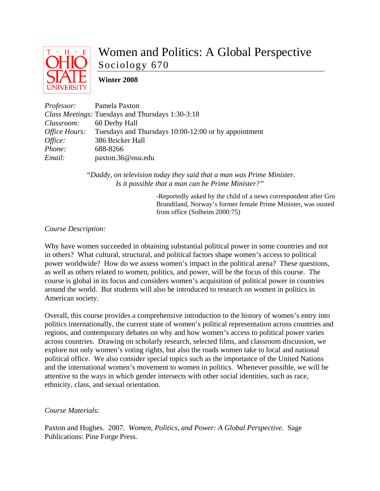

# Women and Politics: A Global Perspective Sociology 670

# **Winter 2008**

| <i>Professor:</i> Pamela Paxton |                                                                           |
|---------------------------------|---------------------------------------------------------------------------|
|                                 | <i>Class Meetings:</i> Tuesdays and Thursdays 1:30-3:18                   |
| Classroom:                      | 60 Derby Hall                                                             |
|                                 | <i>Office Hours:</i> Tuesdays and Thursdays 10:00-12:00 or by appointment |
| Office:                         | 386 Bricker Hall                                                          |
| Phone:                          | 688-8266                                                                  |
| Email:                          | paxton.36@osu.edu                                                         |

 *"Daddy, on television today they said that a man was Prime Minister. Is it possible that a man can be Prime Minister?"* 

> -Reportedly asked by the child of a news correspondent after Gro Brundtland, Norway's former female Prime Minister, was ousted from office (Solheim 2000:75)

## *Course Description:*

Why have women succeeded in obtaining substantial political power in some countries and not in others? What cultural, structural, and political factors shape women's access to political power worldwide? How do we assess women's impact in the political arena? These questions, as well as others related to women, politics, and power, will be the focus of this course. The course is global in its focus and considers women's acquisition of political power in countries around the world. But students will also be introduced to research on women in politics in American society.

Overall, this course provides a comprehensive introduction to the history of women's entry into politics internationally, the current state of women's political representation across countries and regions, and contemporary debates on why and how women's access to political power varies across countries. Drawing on scholarly research, selected films, and classroom discussion, we explore not only women's voting rights, but also the roads women take to local and national political office. We also consider special topics such as the importance of the United Nations and the international women's movement to women in politics. Whenever possible, we will be attentive to the ways in which gender intersects with other social identities, such as race, ethnicity, class, and sexual orientation.

## *Course Materials*:

Paxton and Hughes. 2007. *Women, Politics, and Power: A Global Perspective.* Sage Publications: Pine Forge Press.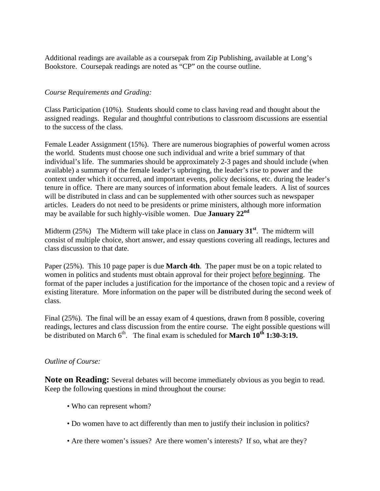Additional readings are available as a coursepak from Zip Publishing, available at Long's Bookstore. Coursepak readings are noted as "CP" on the course outline.

## *Course Requirements and Grading:*

Class Participation (10%). Students should come to class having read and thought about the assigned readings. Regular and thoughtful contributions to classroom discussions are essential to the success of the class.

Female Leader Assignment (15%). There are numerous biographies of powerful women across the world. Students must choose one such individual and write a brief summary of that individual's life. The summaries should be approximately 2-3 pages and should include (when available) a summary of the female leader's upbringing, the leader's rise to power and the context under which it occurred, and important events, policy decisions, etc. during the leader's tenure in office. There are many sources of information about female leaders. A list of sources will be distributed in class and can be supplemented with other sources such as newspaper articles. Leaders do not need to be presidents or prime ministers, although more information may be available for such highly-visible women. Due **January 22nd**

Midterm (25%) The Midterm will take place in class on **January 31st**. The midterm will consist of multiple choice, short answer, and essay questions covering all readings, lectures and class discussion to that date.

Paper (25%). This 10 page paper is due **March 4th**. The paper must be on a topic related to women in politics and students must obtain approval for their project before beginning. The format of the paper includes a justification for the importance of the chosen topic and a review of existing literature. More information on the paper will be distributed during the second week of class.

Final (25%). The final will be an essay exam of 4 questions, drawn from 8 possible, covering readings, lectures and class discussion from the entire course. The eight possible questions will be distributed on March  $6<sup>th</sup>$ . The final exam is scheduled for **March**  $10<sup>th</sup> 1:30-3:19$ **.** 

#### *Outline of Course:*

**Note on Reading:** Several debates will become immediately obvious as you begin to read. Keep the following questions in mind throughout the course:

- Who can represent whom?
- Do women have to act differently than men to justify their inclusion in politics?
- Are there women's issues? Are there women's interests? If so, what are they?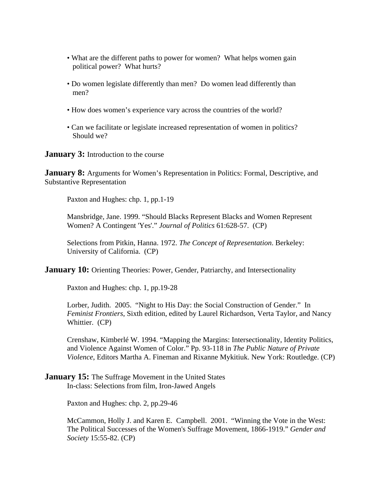- What are the different paths to power for women? What helps women gain political power? What hurts?
- Do women legislate differently than men? Do women lead differently than men?
- How does women's experience vary across the countries of the world?
- Can we facilitate or legislate increased representation of women in politics? Should we?

**January 3:** Introduction to the course

**January 8:** Arguments for Women's Representation in Politics: Formal, Descriptive, and Substantive Representation

Paxton and Hughes: chp. 1, pp.1-19

Mansbridge, Jane. 1999. "Should Blacks Represent Blacks and Women Represent Women? A Contingent 'Yes'." *Journal of Politics* 61:628-57. (CP)

Selections from Pitkin, Hanna. 1972. *The Concept of Representation*. Berkeley: University of California. (CP)

**January 10:** Orienting Theories: Power, Gender, Patriarchy, and Intersectionality

Paxton and Hughes: chp. 1, pp.19-28

Lorber, Judith. 2005. "Night to His Day: the Social Construction of Gender." In *Feminist Frontiers*, Sixth edition, edited by Laurel Richardson, Verta Taylor, and Nancy Whittier. (CP)

Crenshaw, Kimberlé W. 1994. "Mapping the Margins: Intersectionality, Identity Politics, and Violence Against Women of Color." Pp. 93-118 in *The Public Nature of Private Violence*, Editors Martha A. Fineman and Rixanne Mykitiuk. New York: Routledge. (CP)

#### **January 15:** The Suffrage Movement in the United States In-class: Selections from film, Iron-Jawed Angels

Paxton and Hughes: chp. 2, pp.29-46

McCammon, Holly J. and Karen E. Campbell. 2001. "Winning the Vote in the West: The Political Successes of the Women's Suffrage Movement, 1866-1919." *Gender and Society* 15:55-82. (CP)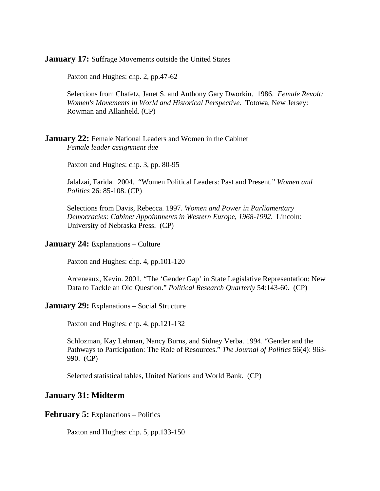**January 17:** Suffrage Movements outside the United States

Paxton and Hughes: chp. 2, pp.47-62

Selections from Chafetz, Janet S. and Anthony Gary Dworkin. 1986. *Female Revolt: Women's Movements in World and Historical Perspective*. Totowa, New Jersey: Rowman and Allanheld. (CP)

#### **January 22:** Female National Leaders and Women in the Cabinet  *Female leader assignment due*

Paxton and Hughes: chp. 3, pp. 80-95

Jalalzai, Farida. 2004. "Women Political Leaders: Past and Present." *Women and Politics* 26: 85-108. (CP)

Selections from Davis, Rebecca. 1997. *Women and Power in Parliamentary Democracies: Cabinet Appointments in Western Europe, 1968-1992*. Lincoln: University of Nebraska Press. (CP)

#### **January 24:** Explanations – Culture

Paxton and Hughes: chp. 4, pp.101-120

Arceneaux, Kevin. 2001. "The 'Gender Gap' in State Legislative Representation: New Data to Tackle an Old Question." *Political Research Quarterly* 54:143-60. (CP)

#### **January 29:** Explanations – Social Structure

Paxton and Hughes: chp. 4, pp.121-132

Schlozman, Kay Lehman, Nancy Burns, and Sidney Verba. 1994. "Gender and the Pathways to Participation: The Role of Resources." *The Journal of Politics* 56(4): 963- 990. (CP)

Selected statistical tables, United Nations and World Bank. (CP)

#### **January 31: Midterm**

#### **February 5:** Explanations – Politics

Paxton and Hughes: chp. 5, pp.133-150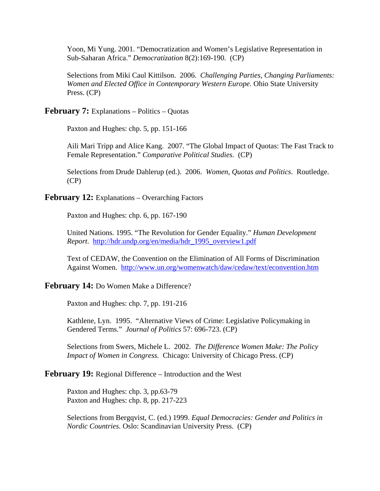Yoon, Mi Yung. 2001. "Democratization and Women's Legislative Representation in Sub-Saharan Africa." *Democratization* 8(2):169-190. (CP)

Selections from Miki Caul Kittilson. 2006. *Challenging Parties, Changing Parliaments: Women and Elected Office in Contemporary Western Europe.* Ohio State University Press. (CP)

**February 7:** Explanations – Politics – Quotas

Paxton and Hughes: chp. 5, pp. 151-166

Aili Mari Tripp and Alice Kang. 2007. "The Global Impact of Quotas: The Fast Track to Female Representation." *Comparative Political Studies.* (CP)

Selections from Drude Dahlerup (ed.). 2006. *Women, Quotas and Politics*. Routledge. (CP)

**February 12:** Explanations – Overarching Factors

Paxton and Hughes: chp. 6, pp. 167-190

United Nations. 1995. "The Revolution for Gender Equality." *Human Development Report*. http://hdr.undp.org/en/media/hdr\_1995\_overview1.pdf

Text of CEDAW, the Convention on the Elimination of All Forms of Discrimination Against Women. http://www.un.org/womenwatch/daw/cedaw/text/econvention.htm

#### **February 14:** Do Women Make a Difference?

Paxton and Hughes: chp. 7, pp. 191-216

Kathlene, Lyn. 1995. "Alternative Views of Crime: Legislative Policymaking in Gendered Terms." *Journal of Politics* 57: 696-723. (CP)

Selections from Swers, Michele L. 2002. *The Difference Women Make: The Policy Impact of Women in Congress.* Chicago: University of Chicago Press. (CP)

#### **February 19:** Regional Difference – Introduction and the West

Paxton and Hughes: chp. 3, pp.63-79 Paxton and Hughes: chp. 8, pp. 217-223

Selections from Bergqvist, C. (ed.) 1999. *Equal Democracies: Gender and Politics in Nordic Countries.* Oslo: Scandinavian University Press. (CP)